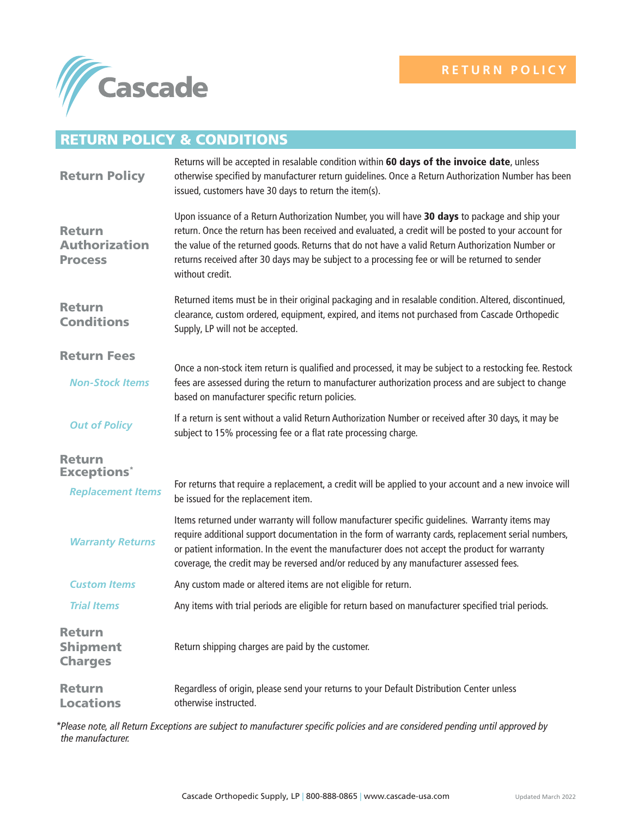

## RETURN POLICY & CONDITIONS

| <b>Return Policy</b>                                    | Returns will be accepted in resalable condition within 60 days of the invoice date, unless<br>otherwise specified by manufacturer return guidelines. Once a Return Authorization Number has been<br>issued, customers have 30 days to return the item(s).                                                                                                                                                                        |
|---------------------------------------------------------|----------------------------------------------------------------------------------------------------------------------------------------------------------------------------------------------------------------------------------------------------------------------------------------------------------------------------------------------------------------------------------------------------------------------------------|
| <b>Return</b><br><b>Authorization</b><br><b>Process</b> | Upon issuance of a Return Authorization Number, you will have 30 days to package and ship your<br>return. Once the return has been received and evaluated, a credit will be posted to your account for<br>the value of the returned goods. Returns that do not have a valid Return Authorization Number or<br>returns received after 30 days may be subject to a processing fee or will be returned to sender<br>without credit. |
| <b>Return</b><br><b>Conditions</b>                      | Returned items must be in their original packaging and in resalable condition. Altered, discontinued,<br>clearance, custom ordered, equipment, expired, and items not purchased from Cascade Orthopedic<br>Supply, LP will not be accepted.                                                                                                                                                                                      |
| <b>Return Fees</b>                                      |                                                                                                                                                                                                                                                                                                                                                                                                                                  |
| <b>Non-Stock Items</b>                                  | Once a non-stock item return is qualified and processed, it may be subject to a restocking fee. Restock<br>fees are assessed during the return to manufacturer authorization process and are subject to change<br>based on manufacturer specific return policies.                                                                                                                                                                |
| <b>Out of Policy</b>                                    | If a return is sent without a valid Return Authorization Number or received after 30 days, it may be<br>subject to 15% processing fee or a flat rate processing charge.                                                                                                                                                                                                                                                          |
| <b>Return</b>                                           |                                                                                                                                                                                                                                                                                                                                                                                                                                  |
| <b>Exceptions*</b><br><b>Replacement Items</b>          | For returns that require a replacement, a credit will be applied to your account and a new invoice will<br>be issued for the replacement item.                                                                                                                                                                                                                                                                                   |
| <b>Warranty Returns</b>                                 | Items returned under warranty will follow manufacturer specific guidelines. Warranty items may<br>require additional support documentation in the form of warranty cards, replacement serial numbers,<br>or patient information. In the event the manufacturer does not accept the product for warranty<br>coverage, the credit may be reversed and/or reduced by any manufacturer assessed fees.                                |
| <b>Custom Items</b>                                     | Any custom made or altered items are not eligible for return.                                                                                                                                                                                                                                                                                                                                                                    |
| <b>Trial Items</b>                                      | Any items with trial periods are eligible for return based on manufacturer specified trial periods.                                                                                                                                                                                                                                                                                                                              |
| <b>Return</b><br><b>Shipment</b><br><b>Charges</b>      | Return shipping charges are paid by the customer.                                                                                                                                                                                                                                                                                                                                                                                |
| <b>Return</b><br><b>Locations</b>                       | Regardless of origin, please send your returns to your Default Distribution Center unless<br>otherwise instructed.                                                                                                                                                                                                                                                                                                               |

*\*Please note, all Return Exceptions are subject to manufacturer specific policies and are considered pending until approved by the manufacturer.*